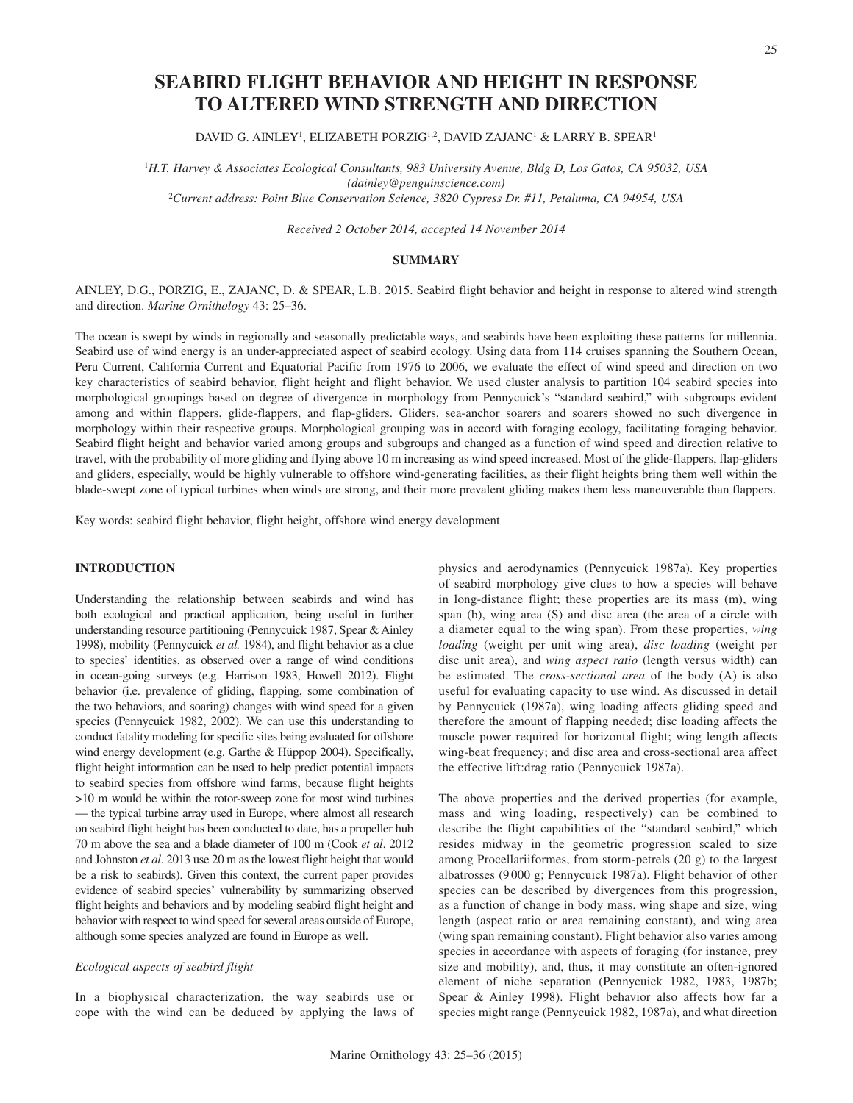# DAVID G. AINLEY<sup>1</sup>, ELIZABETH PORZIG<sup>1,2</sup>, DAVID ZAJANC<sup>1</sup> & LARRY B. SPEAR<sup>1</sup>

**SEABIRD FLIGHT BEHAVIOR AND HEIGHT IN RESPONSE TO ALTERED WIND STRENGTH AND DIRECTION**

<sup>1</sup>*H.T. Harvey & Associates Ecological Consultants, 983 University Avenue, Bldg D, Los Gatos, CA 95032, USA (dainley@penguinscience.com)* <sup>2</sup>*Current address: Point Blue Conservation Science, 3820 Cypress Dr. #11, Petaluma, CA 94954, USA*

*Received 2 October 2014, accepted 14 November 2014*

## **SUMMARY**

AINLEY, D.G., PORZIG, E., ZAJANC, D. & SPEAR, L.B. 2015. Seabird flight behavior and height in response to altered wind strength and direction. *Marine Ornithology* 43: 25–36.

The ocean is swept by winds in regionally and seasonally predictable ways, and seabirds have been exploiting these patterns for millennia. Seabird use of wind energy is an under-appreciated aspect of seabird ecology. Using data from 114 cruises spanning the Southern Ocean, Peru Current, California Current and Equatorial Pacific from 1976 to 2006, we evaluate the effect of wind speed and direction on two key characteristics of seabird behavior, flight height and flight behavior. We used cluster analysis to partition 104 seabird species into morphological groupings based on degree of divergence in morphology from Pennycuick's "standard seabird," with subgroups evident among and within flappers, glide-flappers, and flap-gliders. Gliders, sea-anchor soarers and soarers showed no such divergence in morphology within their respective groups. Morphological grouping was in accord with foraging ecology, facilitating foraging behavior. Seabird flight height and behavior varied among groups and subgroups and changed as a function of wind speed and direction relative to travel, with the probability of more gliding and flying above 10 m increasing as wind speed increased. Most of the glide-flappers, flap-gliders and gliders, especially, would be highly vulnerable to offshore wind-generating facilities, as their flight heights bring them well within the blade-swept zone of typical turbines when winds are strong, and their more prevalent gliding makes them less maneuverable than flappers.

Key words: seabird flight behavior, flight height, offshore wind energy development

## **INTRODUCTION**

Understanding the relationship between seabirds and wind has both ecological and practical application, being useful in further understanding resource partitioning (Pennycuick 1987, Spear & Ainley 1998), mobility (Pennycuick *et al.* 1984), and flight behavior as a clue to species' identities, as observed over a range of wind conditions in ocean-going surveys (e.g. Harrison 1983, Howell 2012). Flight behavior (i.e. prevalence of gliding, flapping, some combination of the two behaviors, and soaring) changes with wind speed for a given species (Pennycuick 1982, 2002). We can use this understanding to conduct fatality modeling for specific sites being evaluated for offshore wind energy development (e.g. Garthe & Hüppop 2004). Specifically, flight height information can be used to help predict potential impacts to seabird species from offshore wind farms, because flight heights >10 m would be within the rotor-sweep zone for most wind turbines — the typical turbine array used in Europe, where almost all research on seabird flight height has been conducted to date, has a propeller hub 70 m above the sea and a blade diameter of 100 m (Cook *et al*. 2012 and Johnston *et al*. 2013 use 20 m as the lowest flight height that would be a risk to seabirds). Given this context, the current paper provides evidence of seabird species' vulnerability by summarizing observed flight heights and behaviors and by modeling seabird flight height and behavior with respect to wind speed for several areas outside of Europe, although some species analyzed are found in Europe as well.

## *Ecological aspects of seabird flight*

In a biophysical characterization, the way seabirds use or cope with the wind can be deduced by applying the laws of physics and aerodynamics (Pennycuick 1987a). Key properties of seabird morphology give clues to how a species will behave in long-distance flight; these properties are its mass (m), wing span (b), wing area (S) and disc area (the area of a circle with a diameter equal to the wing span). From these properties, *wing loading* (weight per unit wing area), *disc loading* (weight per disc unit area), and *wing aspect ratio* (length versus width) can be estimated. The *cross-sectional area* of the body (A) is also useful for evaluating capacity to use wind. As discussed in detail by Pennycuick (1987a), wing loading affects gliding speed and therefore the amount of flapping needed; disc loading affects the muscle power required for horizontal flight; wing length affects wing-beat frequency; and disc area and cross-sectional area affect the effective lift:drag ratio (Pennycuick 1987a).

The above properties and the derived properties (for example, mass and wing loading, respectively) can be combined to describe the flight capabilities of the "standard seabird," which resides midway in the geometric progression scaled to size among Procellariiformes, from storm-petrels (20 g) to the largest albatrosses (9 000 g; Pennycuick 1987a). Flight behavior of other species can be described by divergences from this progression, as a function of change in body mass, wing shape and size, wing length (aspect ratio or area remaining constant), and wing area (wing span remaining constant). Flight behavior also varies among species in accordance with aspects of foraging (for instance, prey size and mobility), and, thus, it may constitute an often-ignored element of niche separation (Pennycuick 1982, 1983, 1987b; Spear & Ainley 1998). Flight behavior also affects how far a species might range (Pennycuick 1982, 1987a), and what direction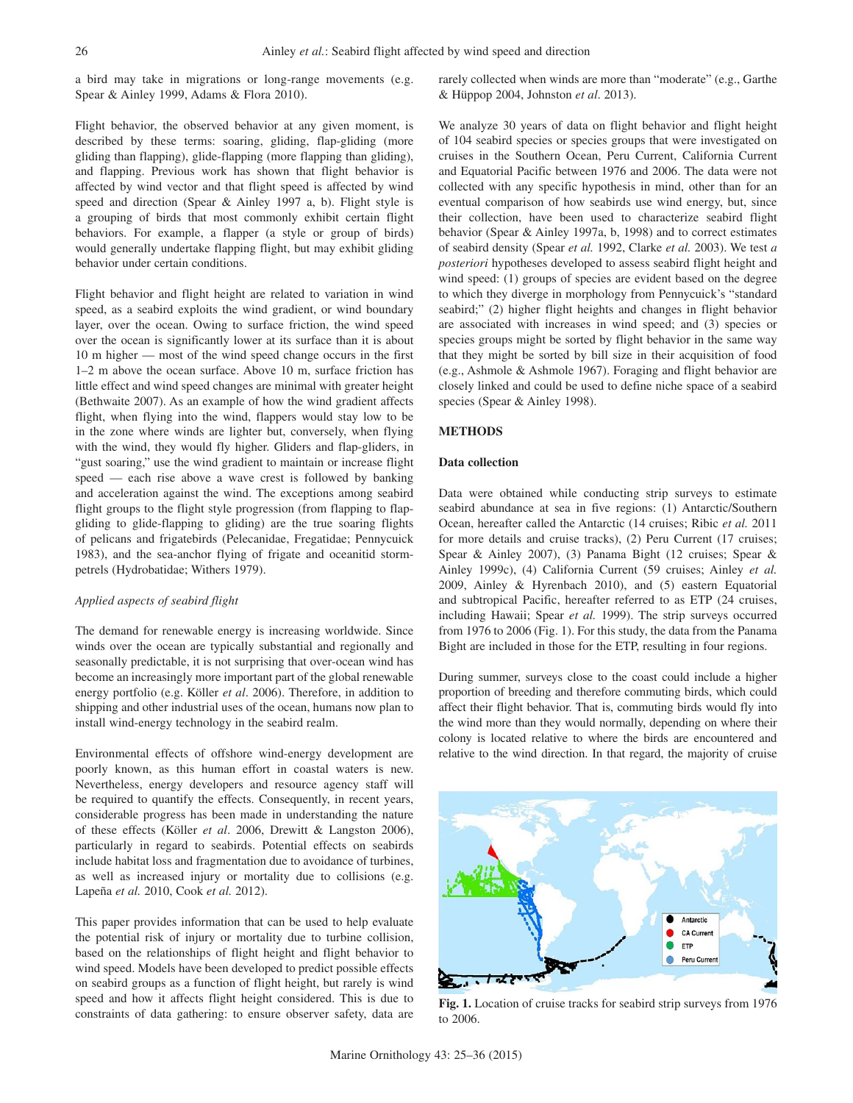a bird may take in migrations or long-range movements (e.g. Spear & Ainley 1999, Adams & Flora 2010).

Flight behavior, the observed behavior at any given moment, is described by these terms: soaring, gliding, flap-gliding (more gliding than flapping), glide-flapping (more flapping than gliding), and flapping. Previous work has shown that flight behavior is affected by wind vector and that flight speed is affected by wind speed and direction (Spear & Ainley 1997 a, b). Flight style is a grouping of birds that most commonly exhibit certain flight behaviors. For example, a flapper (a style or group of birds) would generally undertake flapping flight, but may exhibit gliding behavior under certain conditions.

Flight behavior and flight height are related to variation in wind speed, as a seabird exploits the wind gradient, or wind boundary layer, over the ocean. Owing to surface friction, the wind speed over the ocean is significantly lower at its surface than it is about 10 m higher — most of the wind speed change occurs in the first 1–2 m above the ocean surface. Above 10 m, surface friction has little effect and wind speed changes are minimal with greater height (Bethwaite 2007). As an example of how the wind gradient affects flight, when flying into the wind, flappers would stay low to be in the zone where winds are lighter but, conversely, when flying with the wind, they would fly higher. Gliders and flap-gliders, in "gust soaring," use the wind gradient to maintain or increase flight speed — each rise above a wave crest is followed by banking and acceleration against the wind. The exceptions among seabird flight groups to the flight style progression (from flapping to flapgliding to glide-flapping to gliding) are the true soaring flights of pelicans and frigatebirds (Pelecanidae, Fregatidae; Pennycuick 1983), and the sea-anchor flying of frigate and oceanitid stormpetrels (Hydrobatidae; Withers 1979).

#### *Applied aspects of seabird flight*

The demand for renewable energy is increasing worldwide. Since winds over the ocean are typically substantial and regionally and seasonally predictable, it is not surprising that over-ocean wind has become an increasingly more important part of the global renewable energy portfolio (e.g. Köller *et al*. 2006). Therefore, in addition to shipping and other industrial uses of the ocean, humans now plan to install wind-energy technology in the seabird realm.

Environmental effects of offshore wind-energy development are poorly known, as this human effort in coastal waters is new. Nevertheless, energy developers and resource agency staff will be required to quantify the effects. Consequently, in recent years, considerable progress has been made in understanding the nature of these effects (Köller *et al*. 2006, Drewitt & Langston 2006), particularly in regard to seabirds. Potential effects on seabirds include habitat loss and fragmentation due to avoidance of turbines, as well as increased injury or mortality due to collisions (e.g. Lapeña *et al.* 2010, Cook *et al.* 2012).

This paper provides information that can be used to help evaluate the potential risk of injury or mortality due to turbine collision, based on the relationships of flight height and flight behavior to wind speed. Models have been developed to predict possible effects on seabird groups as a function of flight height, but rarely is wind speed and how it affects flight height considered. This is due to constraints of data gathering: to ensure observer safety, data are rarely collected when winds are more than "moderate" (e.g., Garthe & Hüppop 2004, Johnston *et al*. 2013).

We analyze 30 years of data on flight behavior and flight height of 104 seabird species or species groups that were investigated on cruises in the Southern Ocean, Peru Current, California Current and Equatorial Pacific between 1976 and 2006. The data were not collected with any specific hypothesis in mind, other than for an eventual comparison of how seabirds use wind energy, but, since their collection, have been used to characterize seabird flight behavior (Spear & Ainley 1997a, b, 1998) and to correct estimates of seabird density (Spear *et al.* 1992, Clarke *et al.* 2003). We test *a posteriori* hypotheses developed to assess seabird flight height and wind speed: (1) groups of species are evident based on the degree to which they diverge in morphology from Pennycuick's "standard seabird;" (2) higher flight heights and changes in flight behavior are associated with increases in wind speed; and (3) species or species groups might be sorted by flight behavior in the same way that they might be sorted by bill size in their acquisition of food (e.g., Ashmole & Ashmole 1967). Foraging and flight behavior are closely linked and could be used to define niche space of a seabird species (Spear & Ainley 1998).

## **METHODS**

#### **Data collection**

Data were obtained while conducting strip surveys to estimate seabird abundance at sea in five regions: (1) Antarctic/Southern Ocean, hereafter called the Antarctic (14 cruises; Ribic *et al.* 2011 for more details and cruise tracks), (2) Peru Current (17 cruises; Spear & Ainley 2007), (3) Panama Bight (12 cruises; Spear & Ainley 1999c), (4) California Current (59 cruises; Ainley *et al.* 2009, Ainley & Hyrenbach 2010), and (5) eastern Equatorial and subtropical Pacific, hereafter referred to as ETP (24 cruises, including Hawaii; Spear *et al.* 1999). The strip surveys occurred from 1976 to 2006 (Fig. 1). For this study, the data from the Panama Bight are included in those for the ETP, resulting in four regions.

During summer, surveys close to the coast could include a higher proportion of breeding and therefore commuting birds, which could affect their flight behavior. That is, commuting birds would fly into the wind more than they would normally, depending on where their colony is located relative to where the birds are encountered and relative to the wind direction. In that regard, the majority of cruise



**Fig. 1.** Location of cruise tracks for seabird strip surveys from 1976 to 2006.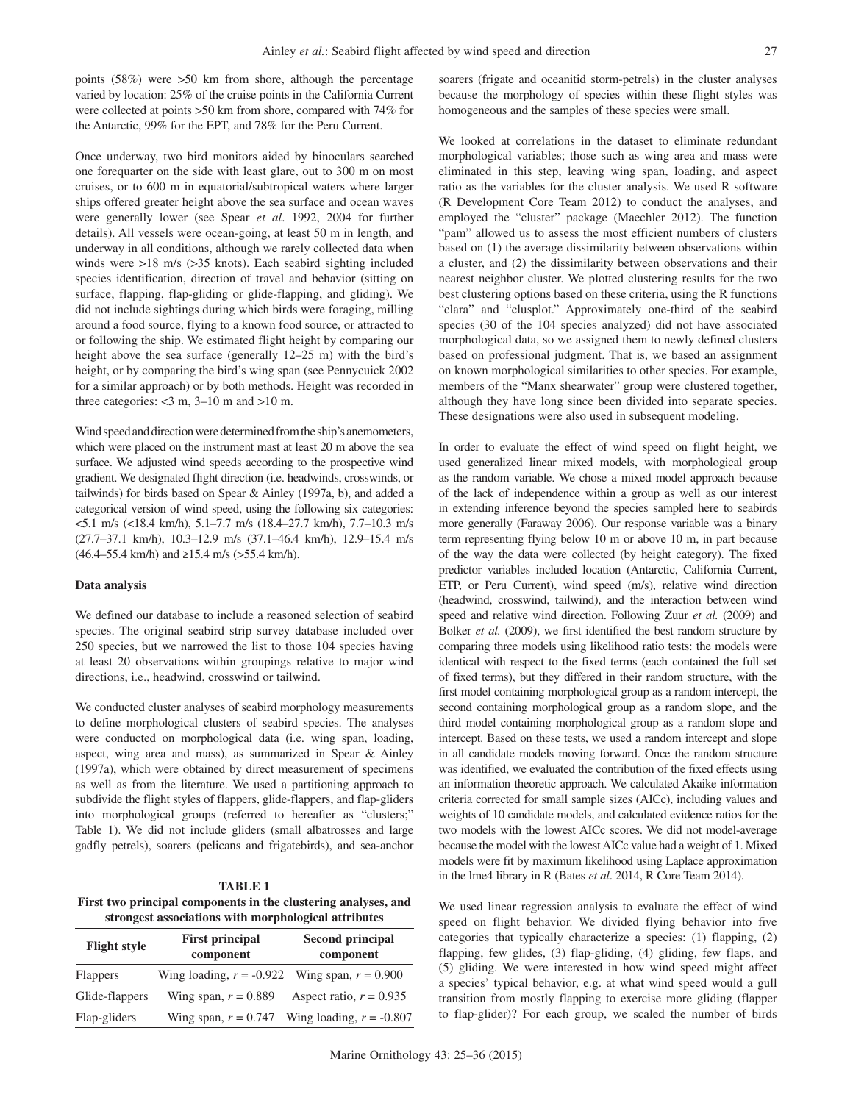points (58%) were >50 km from shore, although the percentage varied by location: 25% of the cruise points in the California Current were collected at points >50 km from shore, compared with 74% for the Antarctic, 99% for the EPT, and 78% for the Peru Current.

Once underway, two bird monitors aided by binoculars searched one forequarter on the side with least glare, out to 300 m on most cruises, or to 600 m in equatorial/subtropical waters where larger ships offered greater height above the sea surface and ocean waves were generally lower (see Spear *et al*. 1992, 2004 for further details). All vessels were ocean-going, at least 50 m in length, and underway in all conditions, although we rarely collected data when winds were >18 m/s (>35 knots). Each seabird sighting included species identification, direction of travel and behavior (sitting on surface, flapping, flap-gliding or glide-flapping, and gliding). We did not include sightings during which birds were foraging, milling around a food source, flying to a known food source, or attracted to or following the ship. We estimated flight height by comparing our height above the sea surface (generally  $12-25$  m) with the bird's height, or by comparing the bird's wing span (see Pennycuick 2002 for a similar approach) or by both methods. Height was recorded in three categories:  $<$ 3 m, 3–10 m and >10 m.

Wind speed and direction were determined from the ship's anemometers, which were placed on the instrument mast at least 20 m above the sea surface. We adjusted wind speeds according to the prospective wind gradient. We designated flight direction (i.e. headwinds, crosswinds, or tailwinds) for birds based on Spear & Ainley (1997a, b), and added a categorical version of wind speed, using the following six categories: <5.1 m/s (<18.4 km/h), 5.1–7.7 m/s (18.4–27.7 km/h), 7.7–10.3 m/s (27.7–37.1 km/h), 10.3–12.9 m/s (37.1–46.4 km/h), 12.9–15.4 m/s  $(46.4–55.4 \text{ km/h})$  and  $\geq 15.4 \text{ m/s}$  ( $> 55.4 \text{ km/h}$ ).

#### **Data analysis**

We defined our database to include a reasoned selection of seabird species. The original seabird strip survey database included over 250 species, but we narrowed the list to those 104 species having at least 20 observations within groupings relative to major wind directions, i.e., headwind, crosswind or tailwind.

We conducted cluster analyses of seabird morphology measurements to define morphological clusters of seabird species. The analyses were conducted on morphological data (i.e. wing span, loading, aspect, wing area and mass), as summarized in Spear & Ainley (1997a), which were obtained by direct measurement of specimens as well as from the literature. We used a partitioning approach to subdivide the flight styles of flappers, glide-flappers, and flap-gliders into morphological groups (referred to hereafter as "clusters;" Table 1). We did not include gliders (small albatrosses and large gadfly petrels), soarers (pelicans and frigatebirds), and sea-anchor

#### **TABLE 1**

**First two principal components in the clustering analyses, and strongest associations with morphological attributes**

| <b>Flight style</b> | <b>First principal</b><br>component               | <b>Second principal</b><br>component |  |  |
|---------------------|---------------------------------------------------|--------------------------------------|--|--|
| <b>Flappers</b>     | Wing loading, $r = -0.922$ Wing span, $r = 0.900$ |                                      |  |  |
| Glide-flappers      | Wing span, $r = 0.889$                            | Aspect ratio, $r = 0.935$            |  |  |
| Flap-gliders        | Wing span, $r = 0.747$                            | Wing loading, $r = -0.807$           |  |  |

soarers (frigate and oceanitid storm-petrels) in the cluster analyses because the morphology of species within these flight styles was homogeneous and the samples of these species were small.

We looked at correlations in the dataset to eliminate redundant morphological variables; those such as wing area and mass were eliminated in this step, leaving wing span, loading, and aspect ratio as the variables for the cluster analysis. We used R software (R Development Core Team 2012) to conduct the analyses, and employed the "cluster" package (Maechler 2012). The function "pam" allowed us to assess the most efficient numbers of clusters based on (1) the average dissimilarity between observations within a cluster, and (2) the dissimilarity between observations and their nearest neighbor cluster. We plotted clustering results for the two best clustering options based on these criteria, using the R functions "clara" and "clusplot." Approximately one-third of the seabird species (30 of the 104 species analyzed) did not have associated morphological data, so we assigned them to newly defined clusters based on professional judgment. That is, we based an assignment on known morphological similarities to other species. For example, members of the "Manx shearwater" group were clustered together, although they have long since been divided into separate species. These designations were also used in subsequent modeling.

In order to evaluate the effect of wind speed on flight height, we used generalized linear mixed models, with morphological group as the random variable. We chose a mixed model approach because of the lack of independence within a group as well as our interest in extending inference beyond the species sampled here to seabirds more generally (Faraway 2006). Our response variable was a binary term representing flying below 10 m or above 10 m, in part because of the way the data were collected (by height category). The fixed predictor variables included location (Antarctic, California Current, ETP, or Peru Current), wind speed (m/s), relative wind direction (headwind, crosswind, tailwind), and the interaction between wind speed and relative wind direction. Following Zuur *et al.* (2009) and Bolker *et al.* (2009), we first identified the best random structure by comparing three models using likelihood ratio tests: the models were identical with respect to the fixed terms (each contained the full set of fixed terms), but they differed in their random structure, with the first model containing morphological group as a random intercept, the second containing morphological group as a random slope, and the third model containing morphological group as a random slope and intercept. Based on these tests, we used a random intercept and slope in all candidate models moving forward. Once the random structure was identified, we evaluated the contribution of the fixed effects using an information theoretic approach. We calculated Akaike information criteria corrected for small sample sizes (AICc), including values and weights of 10 candidate models, and calculated evidence ratios for the two models with the lowest AICc scores. We did not model-average because the model with the lowest AICc value had a weight of 1. Mixed models were fit by maximum likelihood using Laplace approximation in the lme4 library in R (Bates *et al*. 2014, R Core Team 2014).

We used linear regression analysis to evaluate the effect of wind speed on flight behavior. We divided flying behavior into five categories that typically characterize a species: (1) flapping, (2) flapping, few glides, (3) flap-gliding, (4) gliding, few flaps, and (5) gliding. We were interested in how wind speed might affect a species' typical behavior, e.g. at what wind speed would a gull transition from mostly flapping to exercise more gliding (flapper to flap-glider)? For each group, we scaled the number of birds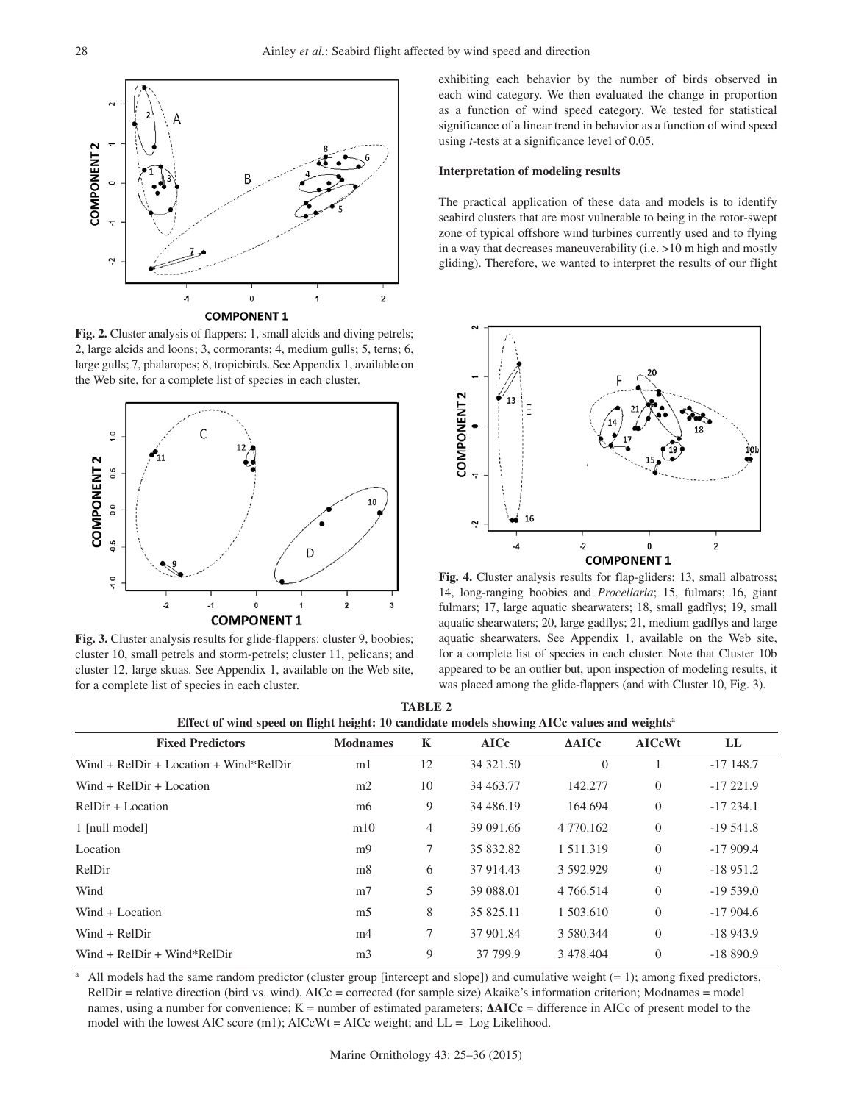

**Fig. 2.** Cluster analysis of flappers: 1, small alcids and diving petrels; 2, large alcids and loons; 3, cormorants; 4, medium gulls; 5, terns; 6, large gulls; 7, phalaropes; 8, tropicbirds. See Appendix 1, available on the Web site, for a complete list of species in each cluster.



**Fig. 3.** Cluster analysis results for glide-flappers: cluster 9, boobies; cluster 10, small petrels and storm-petrels; cluster 11, pelicans; and cluster 12, large skuas. See Appendix 1, available on the Web site, for a complete list of species in each cluster.

exhibiting each behavior by the number of birds observed in each wind category. We then evaluated the change in proportion as a function of wind speed category. We tested for statistical significance of a linear trend in behavior as a function of wind speed using *t*-tests at a significance level of 0.05.

#### **Interpretation of modeling results**

The practical application of these data and models is to identify seabird clusters that are most vulnerable to being in the rotor-swept zone of typical offshore wind turbines currently used and to flying in a way that decreases maneuverability (i.e. >10 m high and mostly gliding). Therefore, we wanted to interpret the results of our flight



**Fig. 4.** Cluster analysis results for flap-gliders: 13, small albatross; 14, long-ranging boobies and *Procellaria*; 15, fulmars; 16, giant fulmars; 17, large aquatic shearwaters; 18, small gadflys; 19, small aquatic shearwaters; 20, large gadflys; 21, medium gadflys and large aquatic shearwaters. See Appendix 1, available on the Web site, for a complete list of species in each cluster. Note that Cluster 10b appeared to be an outlier but, upon inspection of modeling results, it was placed among the glide-flappers (and with Cluster 10, Fig. 3).

| <b>TABLE 2</b>                                                                                          |  |
|---------------------------------------------------------------------------------------------------------|--|
| Effect of wind speed on flight height: 10 candidate models showing AICc values and weights <sup>a</sup> |  |

| <b>Fixed Predictors</b>                  | <b>Modnames</b> | K  | <b>AICc</b> | AAICc           | <b>AICcWt</b>  | LL          |
|------------------------------------------|-----------------|----|-------------|-----------------|----------------|-------------|
| $Wind + RelDir + Location + Wind*RelDir$ | m <sub>1</sub>  | 12 | 34 321.50   | $\theta$        |                | $-17$ 148.7 |
| Wind $+$ RelDir $+$ Location             | m2              | 10 | 34 463.77   | 142.277         | $\Omega$       | $-17221.9$  |
| $ReIDir + Location$                      | m <sub>6</sub>  | 9  | 34 486.19   | 164.694         | $\overline{0}$ | $-17234.1$  |
| 1 [null model]                           | m10             | 4  | 39 091.66   | 4 770.162       | $\theta$       | $-19541.8$  |
| Location                                 | m <sub>9</sub>  | 7  | 35 832.82   | 1 5 1 1 . 3 1 9 | $\Omega$       | $-17909.4$  |
| RelDir                                   | m8              | 6  | 37 914.43   | 3 592.929       | $\Omega$       | $-18951.2$  |
| Wind                                     | m <sub>7</sub>  | 5  | 39 088.01   | 4 7 6 6.514     | $\overline{0}$ | $-19539.0$  |
| $Wind + Location$                        | m <sub>5</sub>  | 8  | 35 825.11   | 1 503.610       | $\Omega$       | $-17904.6$  |
| $Wind + RelDir$                          | m <sub>4</sub>  | 7  | 37 901.84   | 3 580.344       | $\theta$       | $-18943.9$  |
| $Wind + RelDir + Wind*RelDir$            | m <sub>3</sub>  | 9  | 37 799.9    | 3 478.404       | $\Omega$       | $-18890.9$  |

<sup>a</sup> All models had the same random predictor (cluster group [intercept and slope]) and cumulative weight  $(= 1)$ ; among fixed predictors, RelDir = relative direction (bird vs. wind). AICc = corrected (for sample size) Akaike's information criterion; Modnames = model names, using a number for convenience; K = number of estimated parameters; **ΔAICc** = difference in AICc of present model to the model with the lowest AIC score  $(m1)$ ; AICcWt = AICc weight; and LL = Log Likelihood.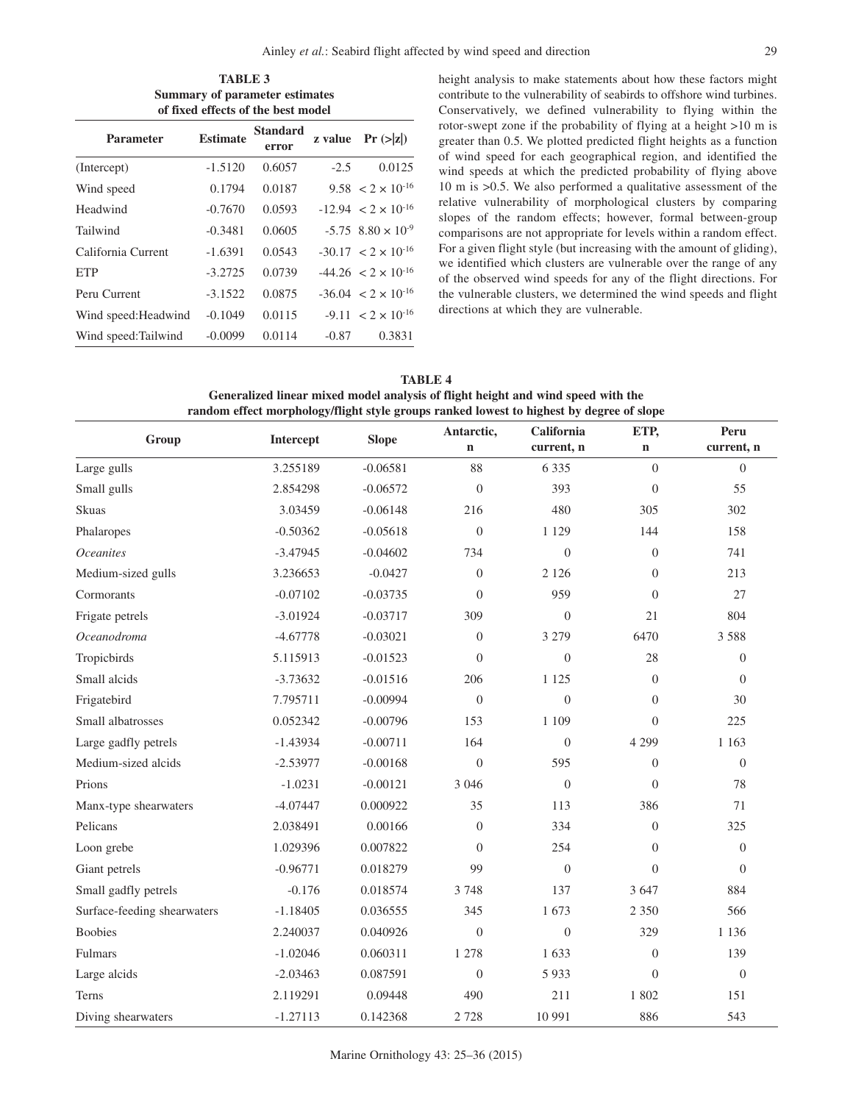| <b>TABLE 3</b><br><b>Summary of parameter estimates</b><br>of fixed effects of the best model |           |        |        |                                        |  |                                                                                        |
|-----------------------------------------------------------------------------------------------|-----------|--------|--------|----------------------------------------|--|----------------------------------------------------------------------------------------|
|                                                                                               |           |        |        |                                        |  | <b>Standard</b><br><b>Estimate</b><br>z value $\Pr(z z )$<br><b>Parameter</b><br>error |
| (Intercept)                                                                                   | $-1.5120$ | 0.6057 | $-2.5$ | 0.0125                                 |  |                                                                                        |
| Wind speed                                                                                    | 0.1794    | 0.0187 |        | $9.58 < 2 \times 10^{-16}$             |  |                                                                                        |
| Headwind                                                                                      | $-0.7670$ | 0.0593 |        | $-12.94 < 2 \times 10^{-16}$           |  |                                                                                        |
| Tailwind                                                                                      | $-0.3481$ | 0.0605 |        | $-5.75$ 8.80 $\times$ 10 <sup>-9</sup> |  |                                                                                        |
| California Current                                                                            | $-1.6391$ | 0.0543 |        | $-30.17 < 2 \times 10^{-16}$           |  |                                                                                        |
| <b>ETP</b>                                                                                    | $-3.2725$ | 0.0739 |        | $-44.26 < 2 \times 10^{-16}$           |  |                                                                                        |
| Peru Current                                                                                  | $-3.1522$ | 0.0875 |        | $-36.04 < 2 \times 10^{-16}$           |  |                                                                                        |

Wind speed: Headwind -0.1049 0.0115 -9.11 <  $2 \times 10^{-16}$ Wind speed:Tailwind -0.0099 0.0114 -0.87 0.3831 height analysis to make statements about how these factors might contribute to the vulnerability of seabirds to offshore wind turbines. Conservatively, we defined vulnerability to flying within the rotor-swept zone if the probability of flying at a height >10 m is greater than 0.5. We plotted predicted flight heights as a function of wind speed for each geographical region, and identified the wind speeds at which the predicted probability of flying above 10 m is >0.5. We also performed a qualitative assessment of the relative vulnerability of morphological clusters by comparing slopes of the random effects; however, formal between-group comparisons are not appropriate for levels within a random effect. For a given flight style (but increasing with the amount of gliding), we identified which clusters are vulnerable over the range of any of the observed wind speeds for any of the flight directions. For the vulnerable clusters, we determined the wind speeds and flight directions at which they are vulnerable.

**TABLE 4 Generalized linear mixed model analysis of flight height and wind speed with the random effect morphology/flight style groups ranked lowest to highest by degree of slope**

| Group                       | <b>Intercept</b> | <b>Slope</b> | Antarctic,       | California       | ETP,             | Peru             |
|-----------------------------|------------------|--------------|------------------|------------------|------------------|------------------|
|                             |                  |              | $\mathbf n$      | current, n       | $\mathbf n$      | current, n       |
| Large gulls                 | 3.255189         | $-0.06581$   | 88               | 6 3 3 5          | $\theta$         | $\overline{0}$   |
| Small gulls                 | 2.854298         | $-0.06572$   | $\boldsymbol{0}$ | 393              | $\boldsymbol{0}$ | 55               |
| Skuas                       | 3.03459          | $-0.06148$   | 216              | 480              | 305              | 302              |
| Phalaropes                  | $-0.50362$       | $-0.05618$   | $\boldsymbol{0}$ | 1 1 2 9          | 144              | 158              |
| <i>Oceanites</i>            | $-3.47945$       | $-0.04602$   | 734              | $\theta$         | $\Omega$         | 741              |
| Medium-sized gulls          | 3.236653         | $-0.0427$    | $\overline{0}$   | 2 1 2 6          | $\theta$         | 213              |
| Cormorants                  | $-0.07102$       | $-0.03735$   | $\overline{0}$   | 959              | $\theta$         | 27               |
| Frigate petrels             | $-3.01924$       | $-0.03717$   | 309              | $\overline{0}$   | 21               | 804              |
| Oceanodroma                 | $-4.67778$       | $-0.03021$   | $\theta$         | 3 2 7 9          | 6470             | 3 5 8 8          |
| Tropicbirds                 | 5.115913         | $-0.01523$   | $\overline{0}$   | $\theta$         | 28               | $\theta$         |
| Small alcids                | $-3.73632$       | $-0.01516$   | 206              | 1 1 2 5          | $\boldsymbol{0}$ | $\theta$         |
| Frigatebird                 | 7.795711         | $-0.00994$   | $\overline{0}$   | $\overline{0}$   | $\theta$         | 30               |
| Small albatrosses           | 0.052342         | $-0.00796$   | 153              | 1 109            | $\Omega$         | 225              |
| Large gadfly petrels        | $-1.43934$       | $-0.00711$   | 164              | $\boldsymbol{0}$ | 4 2 9 9          | 1 1 6 3          |
| Medium-sized alcids         | $-2.53977$       | $-0.00168$   | $\boldsymbol{0}$ | 595              | $\theta$         | $\boldsymbol{0}$ |
| Prions                      | $-1.0231$        | $-0.00121$   | 3 0 4 6          | $\boldsymbol{0}$ | $\overline{0}$   | 78               |
| Manx-type shearwaters       | $-4.07447$       | 0.000922     | 35               | 113              | 386              | 71               |
| Pelicans                    | 2.038491         | 0.00166      | $\boldsymbol{0}$ | 334              | $\boldsymbol{0}$ | 325              |
| Loon grebe                  | 1.029396         | 0.007822     | $\theta$         | 254              | $\theta$         | $\overline{0}$   |
| Giant petrels               | $-0.96771$       | 0.018279     | 99               | $\overline{0}$   | $\Omega$         | $\Omega$         |
| Small gadfly petrels        | $-0.176$         | 0.018574     | 3 7 4 8          | 137              | 3 6 4 7          | 884              |
| Surface-feeding shearwaters | $-1.18405$       | 0.036555     | 345              | 1673             | 2 3 5 0          | 566              |
| <b>Boobies</b>              | 2.240037         | 0.040926     | $\boldsymbol{0}$ | $\boldsymbol{0}$ | 329              | 1 1 3 6          |
| Fulmars                     | $-1.02046$       | 0.060311     | 1 278            | 1633             | $\theta$         | 139              |
| Large alcids                | $-2.03463$       | 0.087591     | $\overline{0}$   | 5 9 3 3          | $\overline{0}$   | $\overline{0}$   |
| Terns                       | 2.119291         | 0.09448      | 490              | 211              | 1 802            | 151              |
| Diving shearwaters          | $-1.27113$       | 0.142368     | 2 7 2 8          | 10 991           | 886              | 543              |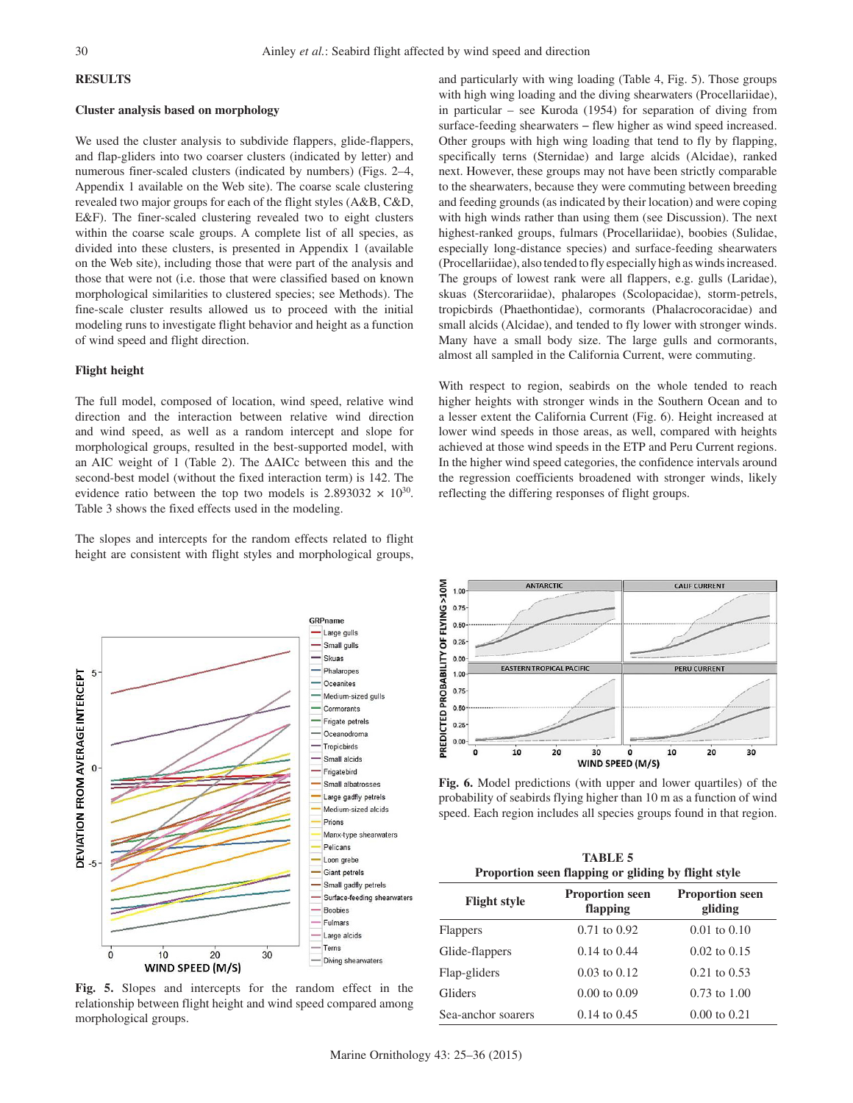# **RESULTS**

#### **Cluster analysis based on morphology**

We used the cluster analysis to subdivide flappers, glide-flappers, and flap-gliders into two coarser clusters (indicated by letter) and numerous finer-scaled clusters (indicated by numbers) (Figs. 2–4, Appendix 1 available on the Web site). The coarse scale clustering revealed two major groups for each of the flight styles (A&B, C&D, E&F). The finer-scaled clustering revealed two to eight clusters within the coarse scale groups. A complete list of all species, as divided into these clusters, is presented in Appendix 1 (available on the Web site), including those that were part of the analysis and those that were not (i.e. those that were classified based on known morphological similarities to clustered species; see Methods). The fine-scale cluster results allowed us to proceed with the initial modeling runs to investigate flight behavior and height as a function of wind speed and flight direction.

#### **Flight height**

The full model, composed of location, wind speed, relative wind direction and the interaction between relative wind direction and wind speed, as well as a random intercept and slope for morphological groups, resulted in the best-supported model, with an AIC weight of 1 (Table 2). The ΔAICc between this and the second-best model (without the fixed interaction term) is 142. The evidence ratio between the top two models is  $2.893032 \times 10^{30}$ . Table 3 shows the fixed effects used in the modeling.

The slopes and intercepts for the random effects related to flight height are consistent with flight styles and morphological groups,



**Fig. 5.** Slopes and intercepts for the random effect in the relationship between flight height and wind speed compared among morphological groups.

and particularly with wing loading (Table 4, Fig. 5). Those groups with high wing loading and the diving shearwaters (Procellariidae), in particular – see Kuroda (1954) for separation of diving from surface-feeding shearwaters – flew higher as wind speed increased. Other groups with high wing loading that tend to fly by flapping, specifically terns (Sternidae) and large alcids (Alcidae), ranked next. However, these groups may not have been strictly comparable to the shearwaters, because they were commuting between breeding and feeding grounds (as indicated by their location) and were coping with high winds rather than using them (see Discussion). The next highest-ranked groups, fulmars (Procellariidae), boobies (Sulidae, especially long-distance species) and surface-feeding shearwaters (Procellariidae), also tended to fly especially high as winds increased. The groups of lowest rank were all flappers, e.g. gulls (Laridae), skuas (Stercorariidae), phalaropes (Scolopacidae), storm-petrels, tropicbirds (Phaethontidae), cormorants (Phalacrocoracidae) and small alcids (Alcidae), and tended to fly lower with stronger winds. Many have a small body size. The large gulls and cormorants, almost all sampled in the California Current, were commuting.

With respect to region, seabirds on the whole tended to reach higher heights with stronger winds in the Southern Ocean and to a lesser extent the California Current (Fig. 6). Height increased at lower wind speeds in those areas, as well, compared with heights achieved at those wind speeds in the ETP and Peru Current regions. In the higher wind speed categories, the confidence intervals around the regression coefficients broadened with stronger winds, likely reflecting the differing responses of flight groups.



**Fig. 6.** Model predictions (with upper and lower quartiles) of the probability of seabirds flying higher than 10 m as a function of wind speed. Each region includes all species groups found in that region.

| <b>TABLE 5</b>                                                                                 |                  |                  |  |  |  |
|------------------------------------------------------------------------------------------------|------------------|------------------|--|--|--|
| Proportion seen flapping or gliding by flight style                                            |                  |                  |  |  |  |
| <b>Proportion seen</b><br><b>Proportion seen</b><br><b>Flight style</b><br>flapping<br>gliding |                  |                  |  |  |  |
| <b>Flappers</b>                                                                                | $0.71$ to $0.92$ | $0.01$ to $0.10$ |  |  |  |
| Glide-flappers                                                                                 | $0.14$ to $0.44$ | $0.02$ to $0.15$ |  |  |  |
| Flap-gliders                                                                                   | $0.03$ to $0.12$ | $0.21$ to $0.53$ |  |  |  |
| <b>Gliders</b>                                                                                 | $0.00$ to $0.09$ | $0.73$ to $1.00$ |  |  |  |
| Sea-anchor soarers                                                                             | $0.14$ to $0.45$ | $0.00$ to $0.21$ |  |  |  |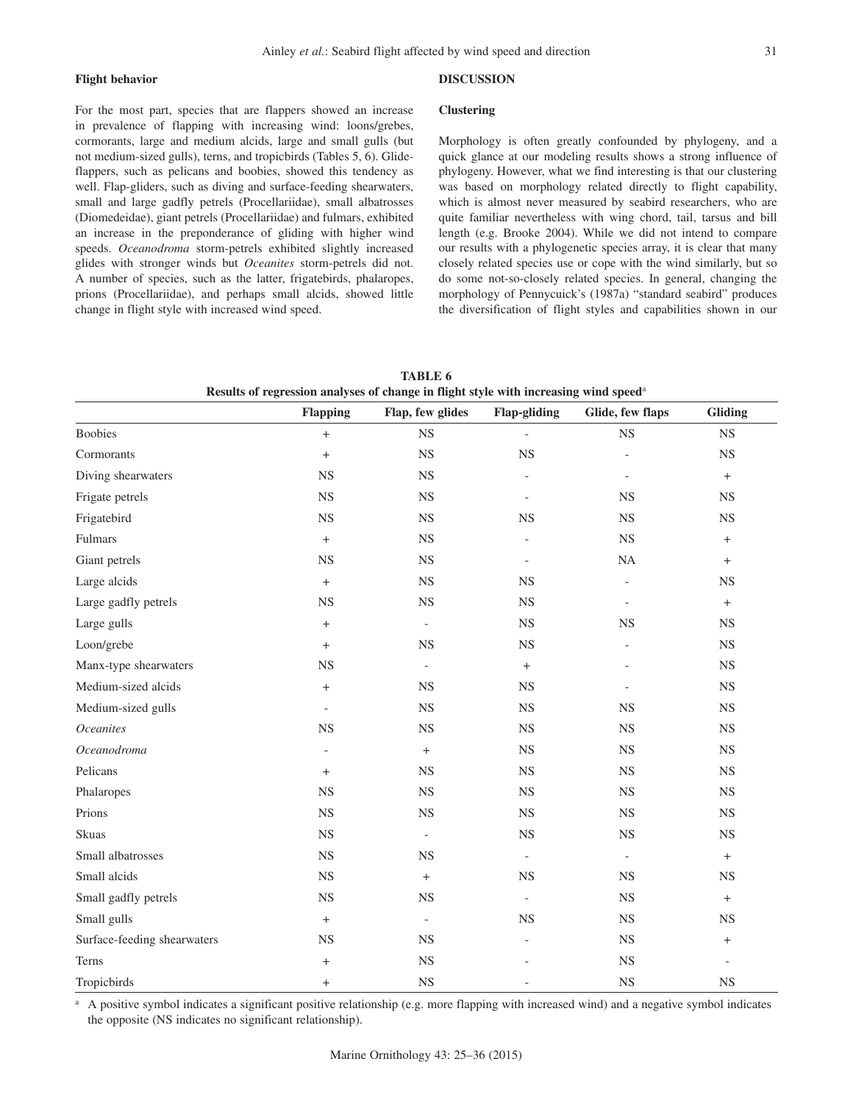## **Flight behavior**

# **DISCUSSION**

For the most part, species that are flappers showed an increase in prevalence of flapping with increasing wind: loons/grebes, cormorants, large and medium alcids, large and small gulls (but not medium-sized gulls), terns, and tropicbirds (Tables 5, 6). Glideflappers, such as pelicans and boobies, showed this tendency as well. Flap-gliders, such as diving and surface-feeding shearwaters, small and large gadfly petrels (Procellariidae), small albatrosses (Diomedeidae), giant petrels (Procellariidae) and fulmars, exhibited an increase in the preponderance of gliding with higher wind speeds. *Oceanodroma* storm-petrels exhibited slightly increased glides with stronger winds but *Oceanites* storm-petrels did not. A number of species, such as the latter, frigatebirds, phalaropes, prions (Procellariidae), and perhaps small alcids, showed little change in flight style with increased wind speed.

## **Clustering**

Morphology is often greatly confounded by phylogeny, and a quick glance at our modeling results shows a strong influence of phylogeny. However, what we find interesting is that our clustering was based on morphology related directly to flight capability, which is almost never measured by seabird researchers, who are quite familiar nevertheless with wing chord, tail, tarsus and bill length (e.g. Brooke 2004). While we did not intend to compare our results with a phylogenetic species array, it is clear that many closely related species use or cope with the wind similarly, but so do some not-so-closely related species. In general, changing the morphology of Pennycuick's (1987a) "standard seabird" produces the diversification of flight styles and capabilities shown in our

| Results of regression analyses of change in flight style with increasing wind speed <sup>a</sup> |                          |                          |                          |                          |                          |  |
|--------------------------------------------------------------------------------------------------|--------------------------|--------------------------|--------------------------|--------------------------|--------------------------|--|
|                                                                                                  | <b>Flapping</b>          | Flap, few glides         | <b>Flap-gliding</b>      | Glide, few flaps         | Gliding                  |  |
| <b>Boobies</b>                                                                                   | $\! + \!\!\!\!$          | NS                       | $\overline{a}$           | $_{\rm NS}$              | $_{\rm NS}$              |  |
| Cormorants                                                                                       | $\boldsymbol{+}$         | NS                       | <b>NS</b>                | $\overline{\phantom{a}}$ | <b>NS</b>                |  |
| Diving shearwaters                                                                               | $_{\rm NS}$              | $_{\rm NS}$              |                          |                          | $+$                      |  |
| Frigate petrels                                                                                  | <b>NS</b>                | NS                       |                          | <b>NS</b>                | <b>NS</b>                |  |
| Frigatebird                                                                                      | $_{\rm NS}$              | $_{\rm NS}$              | <b>NS</b>                | <b>NS</b>                | $_{\rm NS}$              |  |
| Fulmars                                                                                          | $\boldsymbol{+}$         | $_{\rm NS}$              |                          | $_{\rm NS}$              | $+$                      |  |
| Giant petrels                                                                                    | <b>NS</b>                | NS                       | $\overline{a}$           | $\rm NA$                 | $+$                      |  |
| Large alcids                                                                                     | $\boldsymbol{+}$         | $_{\rm NS}$              | <b>NS</b>                | $\overline{\phantom{0}}$ | $_{\rm NS}$              |  |
| Large gadfly petrels                                                                             | <b>NS</b>                | $_{\rm NS}$              | $_{\rm NS}$              | $\overline{\phantom{a}}$ | $+$                      |  |
| Large gulls                                                                                      | $+$                      | $\overline{\phantom{a}}$ | $_{\rm NS}$              | <b>NS</b>                | <b>NS</b>                |  |
| Loon/grebe                                                                                       | $\boldsymbol{+}$         | NS                       | $_{\rm NS}$              | $\overline{a}$           | <b>NS</b>                |  |
| Manx-type shearwaters                                                                            | $_{\rm NS}$              | $\overline{\phantom{a}}$ | $^{\mathrm{+}}$          | $\overline{\phantom{m}}$ | $_{\rm NS}$              |  |
| Medium-sized alcids                                                                              | $\boldsymbol{+}$         | NS                       | $_{\rm NS}$              |                          | <b>NS</b>                |  |
| Medium-sized gulls                                                                               | $\overline{\phantom{a}}$ | <b>NS</b>                | <b>NS</b>                | <b>NS</b>                | <b>NS</b>                |  |
| <b>Oceanites</b>                                                                                 | $_{\rm NS}$              | $_{\rm NS}$              | $_{\rm NS}$              | $_{\rm NS}$              | $_{\rm NS}$              |  |
| Oceanodroma                                                                                      |                          | $+$                      | $_{\rm NS}$              | <b>NS</b>                | <b>NS</b>                |  |
| Pelicans                                                                                         | $\qquad \qquad +$        | <b>NS</b>                | $_{\rm NS}$              | <b>NS</b>                | <b>NS</b>                |  |
| Phalaropes                                                                                       | $_{\rm NS}$              | $_{\rm NS}$              | $_{\rm NS}$              | $_{\rm NS}$              | $_{\rm NS}$              |  |
| Prions                                                                                           | NS                       | <b>NS</b>                | NS                       | <b>NS</b>                | $_{\rm NS}$              |  |
| <b>Skuas</b>                                                                                     | <b>NS</b>                | $\blacksquare$           | $_{\rm NS}$              | $_{\rm NS}$              | <b>NS</b>                |  |
| Small albatrosses                                                                                | $_{\rm NS}$              | $_{\rm NS}$              | $\qquad \qquad -$        | $\overline{\phantom{a}}$ | $+$                      |  |
| Small alcids                                                                                     | <b>NS</b>                | $+$                      | $_{\rm NS}$              | <b>NS</b>                | NS                       |  |
| Small gadfly petrels                                                                             | $_{\rm NS}$              | <b>NS</b>                | $\overline{\phantom{a}}$ | <b>NS</b>                | $+$                      |  |
| Small gulls                                                                                      | $\boldsymbol{+}$         | $\overline{\phantom{a}}$ | <b>NS</b>                | $_{\rm NS}$              | $_{\rm NS}$              |  |
| Surface-feeding shearwaters                                                                      | <b>NS</b>                | <b>NS</b>                |                          | <b>NS</b>                | $+$                      |  |
| Terns                                                                                            | $\qquad \qquad +$        | <b>NS</b>                |                          | <b>NS</b>                | $\overline{\phantom{a}}$ |  |
| Tropicbirds                                                                                      | $+$                      | $_{\rm NS}$              |                          | <b>NS</b>                | $_{\rm NS}$              |  |

**TABLE 6 Results of regression analyses of change in flight style with increasing wind speed**<sup>a</sup>

a A positive symbol indicates a significant positive relationship (e.g. more flapping with increased wind) and a negative symbol indicates the opposite (NS indicates no significant relationship).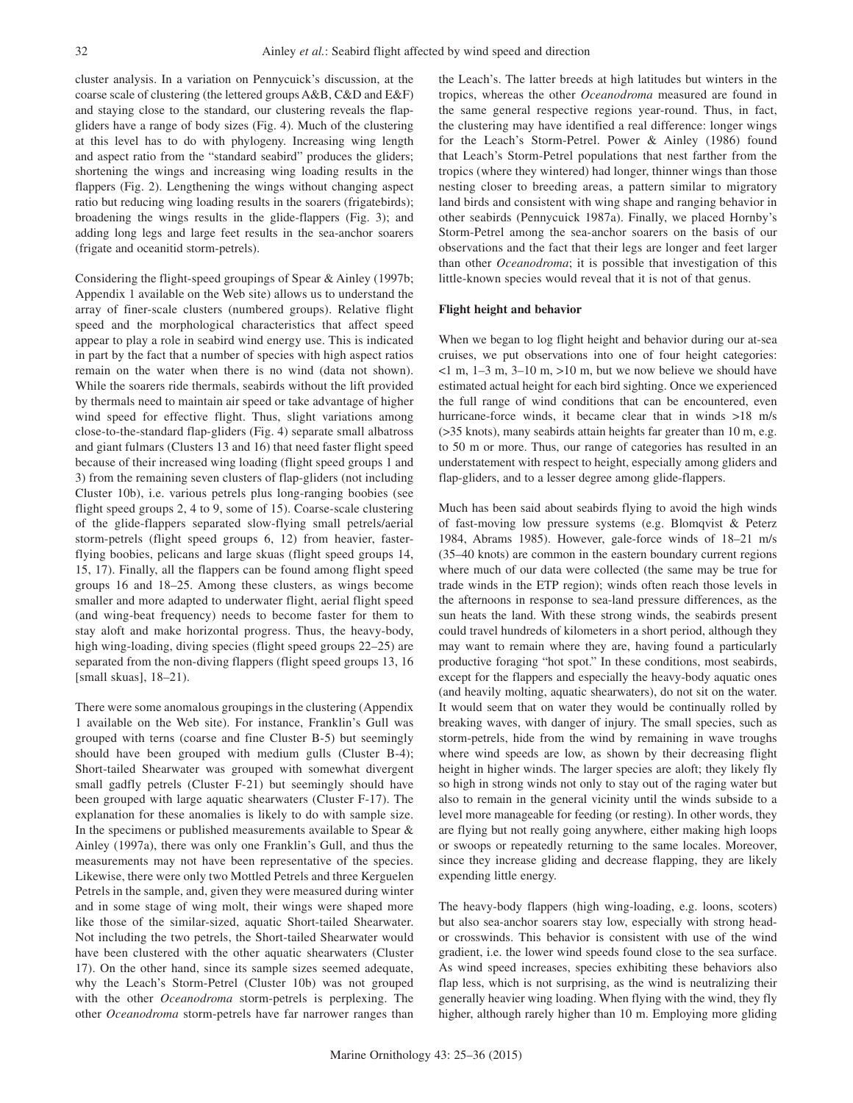cluster analysis. In a variation on Pennycuick's discussion, at the coarse scale of clustering (the lettered groups A&B, C&D and E&F) and staying close to the standard, our clustering reveals the flapgliders have a range of body sizes (Fig. 4). Much of the clustering at this level has to do with phylogeny. Increasing wing length and aspect ratio from the "standard seabird" produces the gliders; shortening the wings and increasing wing loading results in the flappers (Fig. 2). Lengthening the wings without changing aspect ratio but reducing wing loading results in the soarers (frigatebirds); broadening the wings results in the glide-flappers (Fig. 3); and adding long legs and large feet results in the sea-anchor soarers (frigate and oceanitid storm-petrels).

Considering the flight-speed groupings of Spear & Ainley (1997b; Appendix 1 available on the Web site) allows us to understand the array of finer-scale clusters (numbered groups). Relative flight speed and the morphological characteristics that affect speed appear to play a role in seabird wind energy use. This is indicated in part by the fact that a number of species with high aspect ratios remain on the water when there is no wind (data not shown). While the soarers ride thermals, seabirds without the lift provided by thermals need to maintain air speed or take advantage of higher wind speed for effective flight. Thus, slight variations among close-to-the-standard flap-gliders (Fig. 4) separate small albatross and giant fulmars (Clusters 13 and 16) that need faster flight speed because of their increased wing loading (flight speed groups 1 and 3) from the remaining seven clusters of flap-gliders (not including Cluster 10b), i.e. various petrels plus long-ranging boobies (see flight speed groups 2, 4 to 9, some of 15). Coarse-scale clustering of the glide-flappers separated slow-flying small petrels/aerial storm-petrels (flight speed groups 6, 12) from heavier, fasterflying boobies, pelicans and large skuas (flight speed groups 14, 15, 17). Finally, all the flappers can be found among flight speed groups 16 and 18–25. Among these clusters, as wings become smaller and more adapted to underwater flight, aerial flight speed (and wing-beat frequency) needs to become faster for them to stay aloft and make horizontal progress. Thus, the heavy-body, high wing-loading, diving species (flight speed groups 22–25) are separated from the non-diving flappers (flight speed groups 13, 16 [small skuas], 18–21).

There were some anomalous groupings in the clustering (Appendix 1 available on the Web site). For instance, Franklin's Gull was grouped with terns (coarse and fine Cluster B-5) but seemingly should have been grouped with medium gulls (Cluster B-4); Short-tailed Shearwater was grouped with somewhat divergent small gadfly petrels (Cluster F-21) but seemingly should have been grouped with large aquatic shearwaters (Cluster F-17). The explanation for these anomalies is likely to do with sample size. In the specimens or published measurements available to Spear  $\&$ Ainley (1997a), there was only one Franklin's Gull, and thus the measurements may not have been representative of the species. Likewise, there were only two Mottled Petrels and three Kerguelen Petrels in the sample, and, given they were measured during winter and in some stage of wing molt, their wings were shaped more like those of the similar-sized, aquatic Short-tailed Shearwater. Not including the two petrels, the Short-tailed Shearwater would have been clustered with the other aquatic shearwaters (Cluster 17). On the other hand, since its sample sizes seemed adequate, why the Leach's Storm-Petrel (Cluster 10b) was not grouped with the other *Oceanodroma* storm-petrels is perplexing. The other *Oceanodroma* storm-petrels have far narrower ranges than

the Leach's. The latter breeds at high latitudes but winters in the tropics, whereas the other *Oceanodroma* measured are found in the same general respective regions year-round. Thus, in fact, the clustering may have identified a real difference: longer wings for the Leach's Storm-Petrel. Power & Ainley (1986) found that Leach's Storm-Petrel populations that nest farther from the tropics (where they wintered) had longer, thinner wings than those nesting closer to breeding areas, a pattern similar to migratory land birds and consistent with wing shape and ranging behavior in other seabirds (Pennycuick 1987a). Finally, we placed Hornby's Storm-Petrel among the sea-anchor soarers on the basis of our observations and the fact that their legs are longer and feet larger than other *Oceanodroma*; it is possible that investigation of this little-known species would reveal that it is not of that genus.

#### **Flight height and behavior**

When we began to log flight height and behavior during our at-sea cruises, we put observations into one of four height categories:  $\leq 1$  m, 1–3 m, 3–10 m,  $>10$  m, but we now believe we should have estimated actual height for each bird sighting. Once we experienced the full range of wind conditions that can be encountered, even hurricane-force winds, it became clear that in winds >18 m/s (>35 knots), many seabirds attain heights far greater than 10 m, e.g. to 50 m or more. Thus, our range of categories has resulted in an understatement with respect to height, especially among gliders and flap-gliders, and to a lesser degree among glide-flappers.

Much has been said about seabirds flying to avoid the high winds of fast-moving low pressure systems (e.g. Blomqvist & Peterz 1984, Abrams 1985). However, gale-force winds of 18–21 m/s (35–40 knots) are common in the eastern boundary current regions where much of our data were collected (the same may be true for trade winds in the ETP region); winds often reach those levels in the afternoons in response to sea-land pressure differences, as the sun heats the land. With these strong winds, the seabirds present could travel hundreds of kilometers in a short period, although they may want to remain where they are, having found a particularly productive foraging "hot spot." In these conditions, most seabirds, except for the flappers and especially the heavy-body aquatic ones (and heavily molting, aquatic shearwaters), do not sit on the water. It would seem that on water they would be continually rolled by breaking waves, with danger of injury. The small species, such as storm-petrels, hide from the wind by remaining in wave troughs where wind speeds are low, as shown by their decreasing flight height in higher winds. The larger species are aloft; they likely fly so high in strong winds not only to stay out of the raging water but also to remain in the general vicinity until the winds subside to a level more manageable for feeding (or resting). In other words, they are flying but not really going anywhere, either making high loops or swoops or repeatedly returning to the same locales. Moreover, since they increase gliding and decrease flapping, they are likely expending little energy.

The heavy-body flappers (high wing-loading, e.g. loons, scoters) but also sea-anchor soarers stay low, especially with strong heador crosswinds. This behavior is consistent with use of the wind gradient, i.e. the lower wind speeds found close to the sea surface. As wind speed increases, species exhibiting these behaviors also flap less, which is not surprising, as the wind is neutralizing their generally heavier wing loading. When flying with the wind, they fly higher, although rarely higher than 10 m. Employing more gliding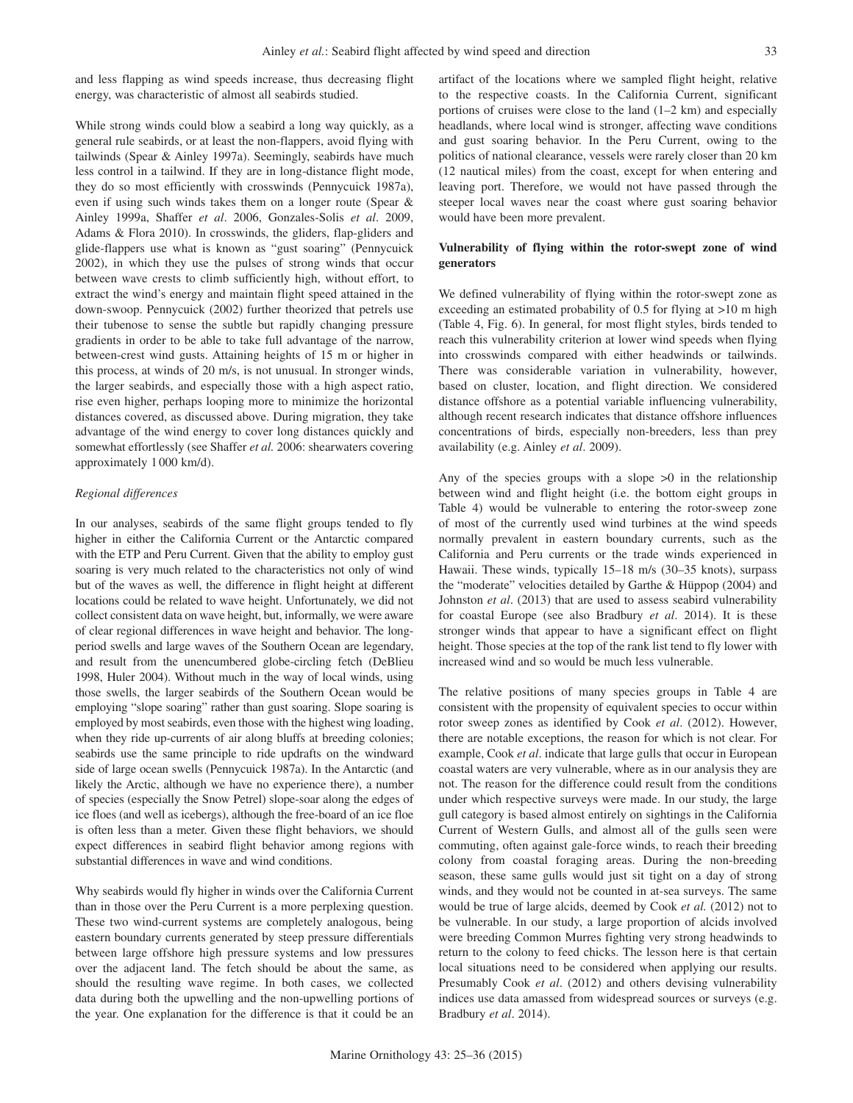and less flapping as wind speeds increase, thus decreasing flight energy, was characteristic of almost all seabirds studied.

While strong winds could blow a seabird a long way quickly, as a general rule seabirds, or at least the non-flappers, avoid flying with tailwinds (Spear & Ainley 1997a). Seemingly, seabirds have much less control in a tailwind. If they are in long-distance flight mode, they do so most efficiently with crosswinds (Pennycuick 1987a), even if using such winds takes them on a longer route (Spear & Ainley 1999a, Shaffer *et al*. 2006, Gonzales-Solis *et al*. 2009, Adams & Flora 2010). In crosswinds, the gliders, flap-gliders and glide-flappers use what is known as "gust soaring" (Pennycuick 2002), in which they use the pulses of strong winds that occur between wave crests to climb sufficiently high, without effort, to extract the wind's energy and maintain flight speed attained in the down-swoop. Pennycuick (2002) further theorized that petrels use their tubenose to sense the subtle but rapidly changing pressure gradients in order to be able to take full advantage of the narrow, between-crest wind gusts. Attaining heights of 15 m or higher in this process, at winds of 20 m/s, is not unusual. In stronger winds, the larger seabirds, and especially those with a high aspect ratio, rise even higher, perhaps looping more to minimize the horizontal distances covered, as discussed above. During migration, they take advantage of the wind energy to cover long distances quickly and somewhat effortlessly (see Shaffer *et al.* 2006: shearwaters covering approximately 1 000 km/d).

## *Regional differences*

In our analyses, seabirds of the same flight groups tended to fly higher in either the California Current or the Antarctic compared with the ETP and Peru Current. Given that the ability to employ gust soaring is very much related to the characteristics not only of wind but of the waves as well, the difference in flight height at different locations could be related to wave height. Unfortunately, we did not collect consistent data on wave height, but, informally, we were aware of clear regional differences in wave height and behavior. The longperiod swells and large waves of the Southern Ocean are legendary, and result from the unencumbered globe-circling fetch (DeBlieu 1998, Huler 2004). Without much in the way of local winds, using those swells, the larger seabirds of the Southern Ocean would be employing "slope soaring" rather than gust soaring. Slope soaring is employed by most seabirds, even those with the highest wing loading, when they ride up-currents of air along bluffs at breeding colonies; seabirds use the same principle to ride updrafts on the windward side of large ocean swells (Pennycuick 1987a). In the Antarctic (and likely the Arctic, although we have no experience there), a number of species (especially the Snow Petrel) slope-soar along the edges of ice floes (and well as icebergs), although the free-board of an ice floe is often less than a meter. Given these flight behaviors, we should expect differences in seabird flight behavior among regions with substantial differences in wave and wind conditions.

Why seabirds would fly higher in winds over the California Current than in those over the Peru Current is a more perplexing question. These two wind-current systems are completely analogous, being eastern boundary currents generated by steep pressure differentials between large offshore high pressure systems and low pressures over the adjacent land. The fetch should be about the same, as should the resulting wave regime. In both cases, we collected data during both the upwelling and the non-upwelling portions of the year. One explanation for the difference is that it could be an artifact of the locations where we sampled flight height, relative to the respective coasts. In the California Current, significant portions of cruises were close to the land (1–2 km) and especially headlands, where local wind is stronger, affecting wave conditions and gust soaring behavior. In the Peru Current, owing to the politics of national clearance, vessels were rarely closer than 20 km (12 nautical miles) from the coast, except for when entering and leaving port. Therefore, we would not have passed through the steeper local waves near the coast where gust soaring behavior would have been more prevalent.

## **Vulnerability of flying within the rotor-swept zone of wind generators**

We defined vulnerability of flying within the rotor-swept zone as exceeding an estimated probability of 0.5 for flying at >10 m high (Table 4, Fig. 6). In general, for most flight styles, birds tended to reach this vulnerability criterion at lower wind speeds when flying into crosswinds compared with either headwinds or tailwinds. There was considerable variation in vulnerability, however, based on cluster, location, and flight direction. We considered distance offshore as a potential variable influencing vulnerability, although recent research indicates that distance offshore influences concentrations of birds, especially non-breeders, less than prey availability (e.g. Ainley *et al*. 2009).

Any of the species groups with a slope  $>0$  in the relationship between wind and flight height (i.e. the bottom eight groups in Table 4) would be vulnerable to entering the rotor-sweep zone of most of the currently used wind turbines at the wind speeds normally prevalent in eastern boundary currents, such as the California and Peru currents or the trade winds experienced in Hawaii. These winds, typically 15–18 m/s (30–35 knots), surpass the "moderate" velocities detailed by Garthe & Hüppop (2004) and Johnston *et al*. (2013) that are used to assess seabird vulnerability for coastal Europe (see also Bradbury *et al*. 2014). It is these stronger winds that appear to have a significant effect on flight height. Those species at the top of the rank list tend to fly lower with increased wind and so would be much less vulnerable.

The relative positions of many species groups in Table 4 are consistent with the propensity of equivalent species to occur within rotor sweep zones as identified by Cook *et al*. (2012). However, there are notable exceptions, the reason for which is not clear. For example, Cook *et al*. indicate that large gulls that occur in European coastal waters are very vulnerable, where as in our analysis they are not. The reason for the difference could result from the conditions under which respective surveys were made. In our study, the large gull category is based almost entirely on sightings in the California Current of Western Gulls, and almost all of the gulls seen were commuting, often against gale-force winds, to reach their breeding colony from coastal foraging areas. During the non-breeding season, these same gulls would just sit tight on a day of strong winds, and they would not be counted in at-sea surveys. The same would be true of large alcids, deemed by Cook *et al.* (2012) not to be vulnerable. In our study, a large proportion of alcids involved were breeding Common Murres fighting very strong headwinds to return to the colony to feed chicks. The lesson here is that certain local situations need to be considered when applying our results. Presumably Cook *et al*. (2012) and others devising vulnerability indices use data amassed from widespread sources or surveys (e.g. Bradbury *et al*. 2014).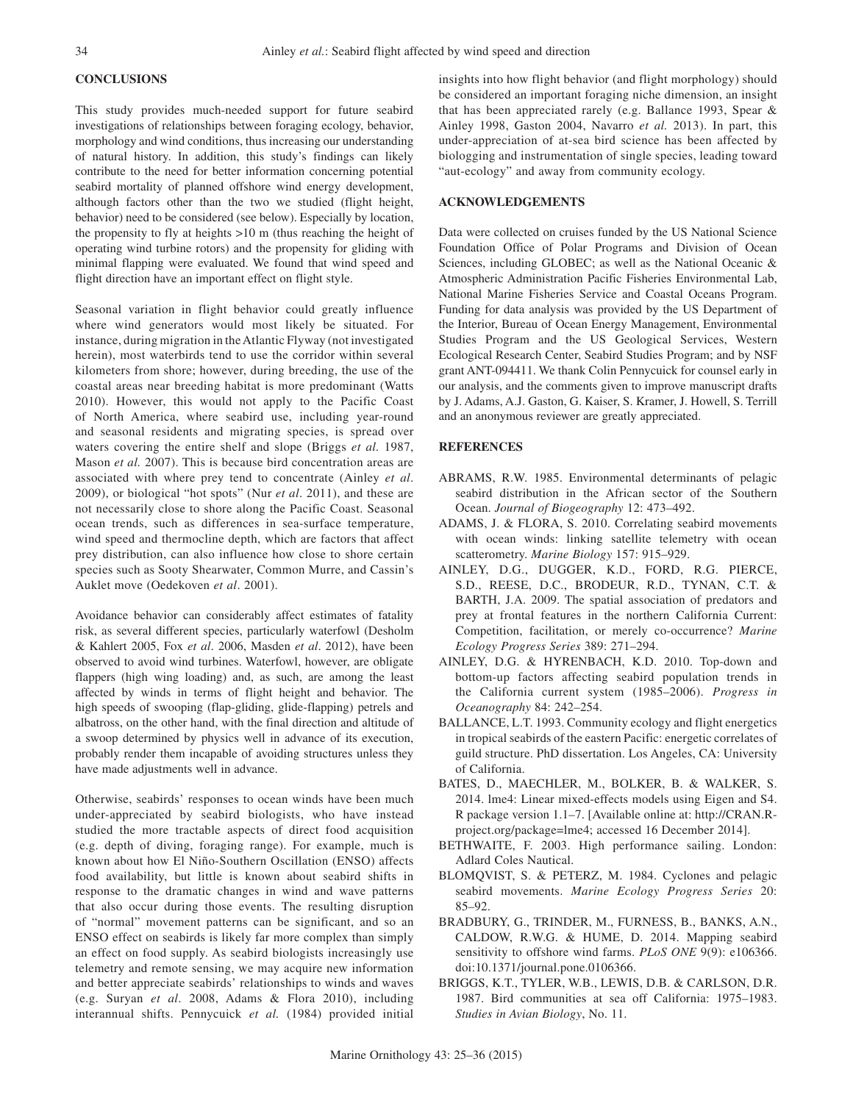# **CONCLUSIONS**

This study provides much-needed support for future seabird investigations of relationships between foraging ecology, behavior, morphology and wind conditions, thus increasing our understanding of natural history. In addition, this study's findings can likely contribute to the need for better information concerning potential seabird mortality of planned offshore wind energy development, although factors other than the two we studied (flight height, behavior) need to be considered (see below). Especially by location, the propensity to fly at heights >10 m (thus reaching the height of operating wind turbine rotors) and the propensity for gliding with minimal flapping were evaluated. We found that wind speed and flight direction have an important effect on flight style.

Seasonal variation in flight behavior could greatly influence where wind generators would most likely be situated. For instance, during migration in the Atlantic Flyway (not investigated herein), most waterbirds tend to use the corridor within several kilometers from shore; however, during breeding, the use of the coastal areas near breeding habitat is more predominant (Watts 2010). However, this would not apply to the Pacific Coast of North America, where seabird use, including year-round and seasonal residents and migrating species, is spread over waters covering the entire shelf and slope (Briggs *et al.* 1987, Mason *et al.* 2007). This is because bird concentration areas are associated with where prey tend to concentrate (Ainley *et al*. 2009), or biological "hot spots" (Nur *et al*. 2011), and these are not necessarily close to shore along the Pacific Coast. Seasonal ocean trends, such as differences in sea-surface temperature, wind speed and thermocline depth, which are factors that affect prey distribution, can also influence how close to shore certain species such as Sooty Shearwater, Common Murre, and Cassin's Auklet move (Oedekoven *et al*. 2001).

Avoidance behavior can considerably affect estimates of fatality risk, as several different species, particularly waterfowl (Desholm & Kahlert 2005, Fox *et al*. 2006, Masden *et al*. 2012), have been observed to avoid wind turbines. Waterfowl, however, are obligate flappers (high wing loading) and, as such, are among the least affected by winds in terms of flight height and behavior. The high speeds of swooping (flap-gliding, glide-flapping) petrels and albatross, on the other hand, with the final direction and altitude of a swoop determined by physics well in advance of its execution, probably render them incapable of avoiding structures unless they have made adjustments well in advance.

Otherwise, seabirds' responses to ocean winds have been much under-appreciated by seabird biologists, who have instead studied the more tractable aspects of direct food acquisition (e.g. depth of diving, foraging range). For example, much is known about how El Niño-Southern Oscillation (ENSO) affects food availability, but little is known about seabird shifts in response to the dramatic changes in wind and wave patterns that also occur during those events. The resulting disruption of "normal" movement patterns can be significant, and so an ENSO effect on seabirds is likely far more complex than simply an effect on food supply. As seabird biologists increasingly use telemetry and remote sensing, we may acquire new information and better appreciate seabirds' relationships to winds and waves (e.g. Suryan *et al*. 2008, Adams & Flora 2010), including interannual shifts. Pennycuick *et al.* (1984) provided initial

insights into how flight behavior (and flight morphology) should be considered an important foraging niche dimension, an insight that has been appreciated rarely (e.g. Ballance 1993, Spear & Ainley 1998, Gaston 2004, Navarro *et al.* 2013). In part, this under-appreciation of at-sea bird science has been affected by biologging and instrumentation of single species, leading toward "aut-ecology" and away from community ecology.

## **ACKNOWLEDGEMENTS**

Data were collected on cruises funded by the US National Science Foundation Office of Polar Programs and Division of Ocean Sciences, including GLOBEC; as well as the National Oceanic & Atmospheric Administration Pacific Fisheries Environmental Lab, National Marine Fisheries Service and Coastal Oceans Program. Funding for data analysis was provided by the US Department of the Interior, Bureau of Ocean Energy Management, Environmental Studies Program and the US Geological Services, Western Ecological Research Center, Seabird Studies Program; and by NSF grant ANT-094411. We thank Colin Pennycuick for counsel early in our analysis, and the comments given to improve manuscript drafts by J. Adams, A.J. Gaston, G. Kaiser, S. Kramer, J. Howell, S. Terrill and an anonymous reviewer are greatly appreciated.

#### **REFERENCES**

- ABRAMS, R.W. 1985. Environmental determinants of pelagic seabird distribution in the African sector of the Southern Ocean. *Journal of Biogeography* 12: 473–492.
- ADAMS, J. & FLORA, S. 2010. Correlating seabird movements with ocean winds: linking satellite telemetry with ocean scatterometry. *Marine Biology* 157: 915–929.
- AINLEY, D.G., DUGGER, K.D., FORD, R.G. PIERCE, S.D., REESE, D.C., BRODEUR, R.D., TYNAN, C.T. & BARTH, J.A. 2009. The spatial association of predators and prey at frontal features in the northern California Current: Competition, facilitation, or merely co-occurrence? *Marine Ecology Progress Series* 389: 271–294.
- AINLEY, D.G. & HYRENBACH, K.D. 2010. Top-down and bottom-up factors affecting seabird population trends in the California current system (1985–2006). *Progress in Oceanography* 84: 242–254.
- BALLANCE, L.T. 1993. Community ecology and flight energetics in tropical seabirds of the eastern Pacific: energetic correlates of guild structure. PhD dissertation. Los Angeles, CA: University of California.
- BATES, D., MAECHLER, M., BOLKER, B. & WALKER, S. 2014. lme4: Linear mixed-effects models using Eigen and S4. R package version 1.1–7. [Available online at: http://CRAN.Rproject.org/package=lme4; accessed 16 December 2014].
- BETHWAITE, F. 2003. High performance sailing. London: Adlard Coles Nautical.
- BLOMQVIST, S. & PETERZ, M. 1984. Cyclones and pelagic seabird movements. *Marine Ecology Progress Series* 20: 85–92.
- BRADBURY, G., TRINDER, M., FURNESS, B., BANKS, A.N., CALDOW, R.W.G. & HUME, D. 2014. Mapping seabird sensitivity to offshore wind farms. *PLoS ONE* 9(9): e106366. doi:10.1371/journal.pone.0106366.
- BRIGGS, K.T., TYLER, W.B., LEWIS, D.B. & CARLSON, D.R. 1987. Bird communities at sea off California: 1975–1983. *Studies in Avian Biology*, No. 11.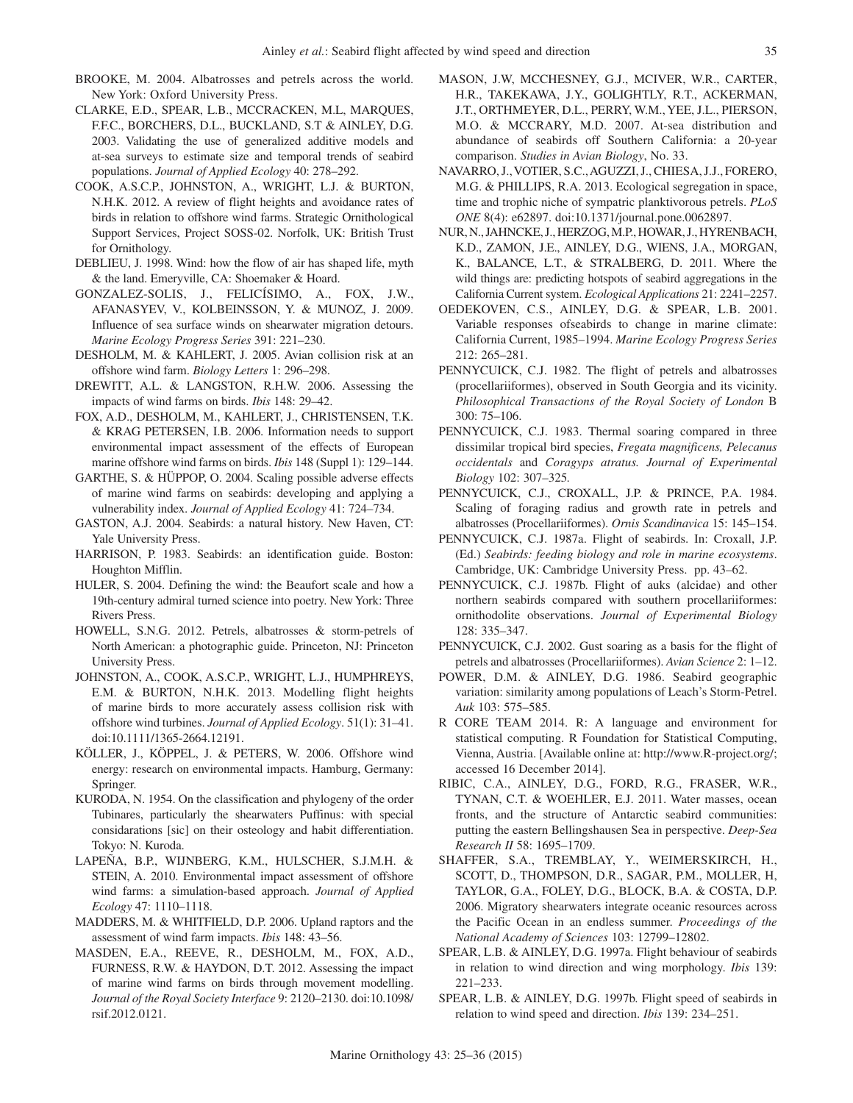- BROOKE, M. 2004. Albatrosses and petrels across the world. New York: Oxford University Press.
- CLARKE, E.D., SPEAR, L.B., MCCRACKEN, M.L, MARQUES, F.F.C., BORCHERS, D.L., BUCKLAND, S.T & AINLEY, D.G. 2003. Validating the use of generalized additive models and at-sea surveys to estimate size and temporal trends of seabird populations. *Journal of Applied Ecology* 40: 278–292.
- COOK, A.S.C.P., JOHNSTON, A., WRIGHT, L.J. & BURTON, N.H.K. 2012. A review of flight heights and avoidance rates of birds in relation to offshore wind farms. Strategic Ornithological Support Services, Project SOSS-02. Norfolk, UK: British Trust for Ornithology.
- DEBLIEU, J. 1998. Wind: how the flow of air has shaped life, myth & the land. Emeryville, CA: Shoemaker & Hoard.
- GONZALEZ-SOLIS, J., FELICÍSIMO, A., FOX, J.W., AFANASYEV, V., KOLBEINSSON, Y. & MUNOZ, J. 2009. Influence of sea surface winds on shearwater migration detours. *Marine Ecology Progress Series* 391: 221–230.
- DESHOLM, M. & KAHLERT, J. 2005. Avian collision risk at an offshore wind farm. *Biology Letters* 1: 296–298.
- DREWITT, A.L. & LANGSTON, R.H.W. 2006. Assessing the impacts of wind farms on birds. *Ibis* 148: 29–42.
- FOX, A.D., DESHOLM, M., KAHLERT, J., CHRISTENSEN, T.K. & KRAG PETERSEN, I.B. 2006. Information needs to support environmental impact assessment of the effects of European marine offshore wind farms on birds. *Ibis* 148 (Suppl 1): 129–144.
- GARTHE, S. & HÜPPOP, O. 2004. Scaling possible adverse effects of marine wind farms on seabirds: developing and applying a vulnerability index. *Journal of Applied Ecology* 41: 724–734.
- GASTON, A.J. 2004. Seabirds: a natural history. New Haven, CT: Yale University Press.
- HARRISON, P. 1983. Seabirds: an identification guide. Boston: Houghton Mifflin.
- HULER, S. 2004. Defining the wind: the Beaufort scale and how a 19th-century admiral turned science into poetry. New York: Three Rivers Press.
- HOWELL, S.N.G. 2012. Petrels, albatrosses & storm-petrels of North American: a photographic guide. Princeton, NJ: Princeton University Press.
- JOHNSTON, A., COOK, A.S.C.P., WRIGHT, L.J., HUMPHREYS, E.M. & BURTON, N.H.K. 2013. Modelling flight heights of marine birds to more accurately assess collision risk with offshore wind turbines. *Journal of Applied Ecology*. 51(1): 31–41. doi:10.1111/1365-2664.12191.
- KÖLLER, J., KÖPPEL, J. & PETERS, W. 2006. Offshore wind energy: research on environmental impacts. Hamburg, Germany: Springer.
- KURODA, N. 1954. On the classification and phylogeny of the order Tubinares, particularly the shearwaters Puffinus: with special considarations [sic] on their osteology and habit differentiation. Tokyo: N. Kuroda.
- LAPEÑA, B.P., WIJNBERG, K.M., HULSCHER, S.J.M.H. & STEIN, A. 2010. Environmental impact assessment of offshore wind farms: a simulation-based approach. *Journal of Applied Ecology* 47: 1110–1118.
- MADDERS, M. & WHITFIELD, D.P. 2006. Upland raptors and the assessment of wind farm impacts. *Ibis* 148: 43–56.
- MASDEN, E.A., REEVE, R., DESHOLM, M., FOX, A.D., FURNESS, R.W. & HAYDON, D.T. 2012. Assessing the impact of marine wind farms on birds through movement modelling. *Journal of the Royal Society Interface* 9: 2120–2130. doi:10.1098/ rsif.2012.0121.
- MASON, J.W, MCCHESNEY, G.J., MCIVER, W.R., CARTER, H.R., TAKEKAWA, J.Y., GOLIGHTLY, R.T., ACKERMAN, J.T., ORTHMEYER, D.L., PERRY, W.M., YEE, J.L., PIERSON, M.O. & MCCRARY, M.D. 2007. At-sea distribution and abundance of seabirds off Southern California: a 20-year comparison. *Studies in Avian Biology*, No. 33.
- NAVARRO, J., VOTIER, S.C., AGUZZI, J., CHIESA, J.J., FORERO, M.G. & PHILLIPS, R.A. 2013. Ecological segregation in space, time and trophic niche of sympatric planktivorous petrels. *PLoS ONE* 8(4): e62897. doi:10.1371/journal.pone.0062897.
- NUR, N., JAHNCKE, J., HERZOG, M.P., HOWAR, J., HYRENBACH, K.D., ZAMON, J.E., AINLEY, D.G., WIENS, J.A., MORGAN, K., BALANCE, L.T., & STRALBERG, D. 2011. Where the wild things are: predicting hotspots of seabird aggregations in the California Current system. *Ecological Applications* 21: 2241–2257.
- OEDEKOVEN, C.S., AINLEY, D.G. & SPEAR, L.B. 2001. Variable responses ofseabirds to change in marine climate: California Current, 1985–1994. *Marine Ecology Progress Series* 212: 265–281.
- PENNYCUICK, C.J. 1982. The flight of petrels and albatrosses (procellariiformes), observed in South Georgia and its vicinity. *Philosophical Transactions of the Royal Society of London* B 300: 75–106.
- PENNYCUICK, C.J. 1983. Thermal soaring compared in three dissimilar tropical bird species, *Fregata magnificens, Pelecanus occidentals* and *Coragyps atratus. Journal of Experimental Biology* 102: 307–325*.*
- PENNYCUICK, C.J., CROXALL, J.P. & PRINCE, P.A. 1984. Scaling of foraging radius and growth rate in petrels and albatrosses (Procellariiformes). *Ornis Scandinavica* 15: 145–154.
- PENNYCUICK, C.J. 1987a. Flight of seabirds. In: Croxall, J.P. (Ed.) *Seabirds: feeding biology and role in marine ecosystems*. Cambridge, UK: Cambridge University Press. pp. 43–62.
- PENNYCUICK, C.J. 1987b. Flight of auks (alcidae) and other northern seabirds compared with southern procellariiformes: ornithodolite observations. *Journal of Experimental Biology* 128: 335–347.
- PENNYCUICK, C.J. 2002. Gust soaring as a basis for the flight of petrels and albatrosses (Procellariiformes). *Avian Science* 2: 1–12.
- POWER, D.M. & AINLEY, D.G. 1986. Seabird geographic variation: similarity among populations of Leach's Storm-Petrel. *Auk* 103: 575–585.
- R CORE TEAM 2014. R: A language and environment for statistical computing. R Foundation for Statistical Computing, Vienna, Austria. [Available online at: http://www.R-project.org/; accessed 16 December 2014].
- RIBIC, C.A., AINLEY, D.G., FORD, R.G., FRASER, W.R., TYNAN, C.T. & WOEHLER, E.J. 2011. Water masses, ocean fronts, and the structure of Antarctic seabird communities: putting the eastern Bellingshausen Sea in perspective. *Deep-Sea Research II* 58: 1695–1709.
- SHAFFER, S.A., TREMBLAY, Y., WEIMERSKIRCH, H., SCOTT, D., THOMPSON, D.R., SAGAR, P.M., MOLLER, H, TAYLOR, G.A., FOLEY, D.G., BLOCK, B.A. & COSTA, D.P. 2006. Migratory shearwaters integrate oceanic resources across the Pacific Ocean in an endless summer. *Proceedings of the National Academy of Sciences* 103: 12799–12802.
- SPEAR, L.B. & AINLEY, D.G. 1997a. Flight behaviour of seabirds in relation to wind direction and wing morphology. *Ibis* 139: 221–233.
- SPEAR, L.B. & AINLEY, D.G. 1997b. Flight speed of seabirds in relation to wind speed and direction. *Ibis* 139: 234–251.